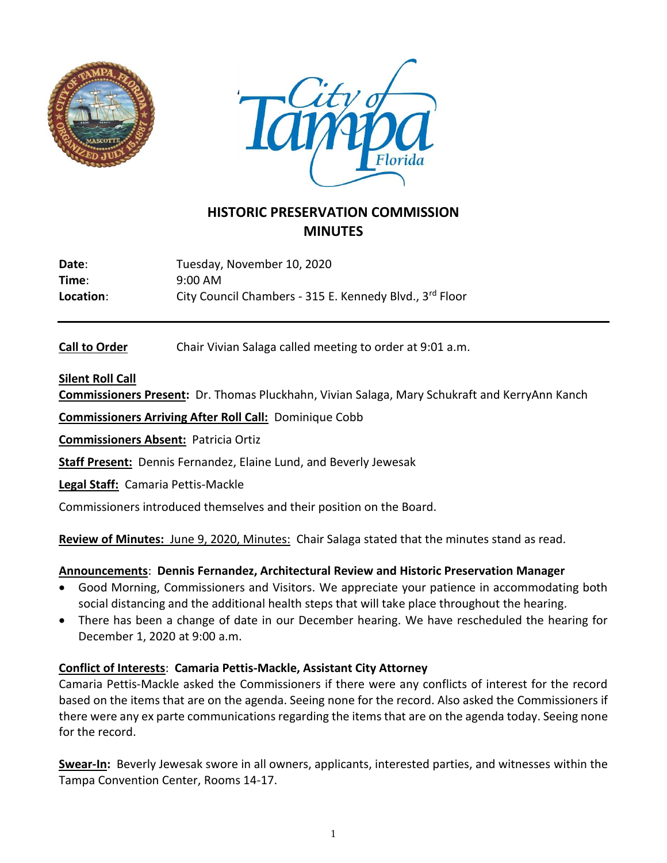



# **HISTORIC PRESERVATION COMMISSION MINUTES**

Date: Tuesday, November 10, 2020 **Time**: 9:00 AM Location: City Council Chambers - 315 E. Kennedy Blvd., 3<sup>rd</sup> Floor

**Call to Order** Chair Vivian Salaga called meeting to order at 9:01 a.m.

## **Silent Roll Call**

**Commissioners Present:** Dr. Thomas Pluckhahn, Vivian Salaga, Mary Schukraft and KerryAnn Kanch

**Commissioners Arriving After Roll Call:** Dominique Cobb

**Commissioners Absent:** Patricia Ortiz

**Staff Present:** Dennis Fernandez, Elaine Lund, and Beverly Jewesak

**Legal Staff:** Camaria Pettis-Mackle

Commissioners introduced themselves and their position on the Board.

**Review of Minutes:** June 9, 2020, Minutes:Chair Salaga stated that the minutes stand as read.

#### **Announcements**: **Dennis Fernandez, Architectural Review and Historic Preservation Manager**

- Good Morning, Commissioners and Visitors. We appreciate your patience in accommodating both social distancing and the additional health steps that will take place throughout the hearing.
- There has been a change of date in our December hearing. We have rescheduled the hearing for December 1, 2020 at 9:00 a.m.

## **Conflict of Interests**: **Camaria Pettis-Mackle, Assistant City Attorney**

Camaria Pettis-Mackle asked the Commissioners if there were any conflicts of interest for the record based on the items that are on the agenda. Seeing none for the record. Also asked the Commissioners if there were any ex parte communications regarding the itemsthat are on the agenda today. Seeing none for the record.

**Swear-In:** Beverly Jewesak swore in all owners, applicants, interested parties, and witnesses within the Tampa Convention Center, Rooms 14-17.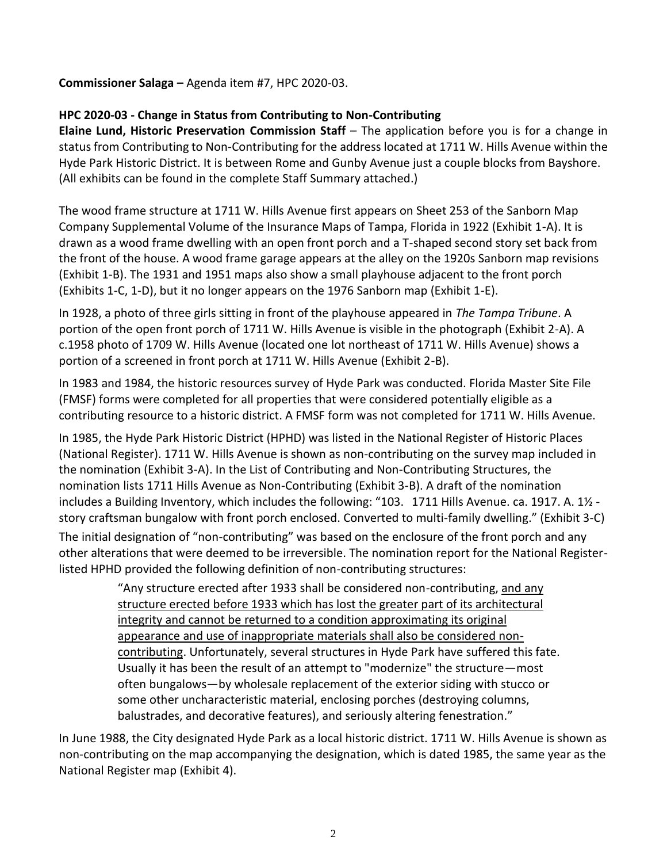## **Commissioner Salaga –** Agenda item #7, HPC 2020-03.

## **HPC 2020-03 - Change in Status from Contributing to Non-Contributing**

**Elaine Lund, Historic Preservation Commission Staff** – The application before you is for a change in status from Contributing to Non-Contributing for the address located at 1711 W. Hills Avenue within the Hyde Park Historic District. It is between Rome and Gunby Avenue just a couple blocks from Bayshore. (All exhibits can be found in the complete Staff Summary attached.)

The wood frame structure at 1711 W. Hills Avenue first appears on Sheet 253 of the Sanborn Map Company Supplemental Volume of the Insurance Maps of Tampa, Florida in 1922 (Exhibit 1-A). It is drawn as a wood frame dwelling with an open front porch and a T-shaped second story set back from the front of the house. A wood frame garage appears at the alley on the 1920s Sanborn map revisions (Exhibit 1-B). The 1931 and 1951 maps also show a small playhouse adjacent to the front porch (Exhibits 1-C, 1-D), but it no longer appears on the 1976 Sanborn map (Exhibit 1-E).

In 1928, a photo of three girls sitting in front of the playhouse appeared in *The Tampa Tribune*. A portion of the open front porch of 1711 W. Hills Avenue is visible in the photograph (Exhibit 2-A). A c.1958 photo of 1709 W. Hills Avenue (located one lot northeast of 1711 W. Hills Avenue) shows a portion of a screened in front porch at 1711 W. Hills Avenue (Exhibit 2-B).

In 1983 and 1984, the historic resources survey of Hyde Park was conducted. Florida Master Site File (FMSF) forms were completed for all properties that were considered potentially eligible as a contributing resource to a historic district. A FMSF form was not completed for 1711 W. Hills Avenue.

In 1985, the Hyde Park Historic District (HPHD) was listed in the National Register of Historic Places (National Register). 1711 W. Hills Avenue is shown as non-contributing on the survey map included in the nomination (Exhibit 3-A). In the List of Contributing and Non-Contributing Structures, the nomination lists 1711 Hills Avenue as Non-Contributing (Exhibit 3-B). A draft of the nomination includes a Building Inventory, which includes the following: "103. 1711 Hills Avenue. ca. 1917. A. 1½ story craftsman bungalow with front porch enclosed. Converted to multi-family dwelling." (Exhibit 3-C) The initial designation of "non-contributing" was based on the enclosure of the front porch and any other alterations that were deemed to be irreversible. The nomination report for the National Registerlisted HPHD provided the following definition of non-contributing structures:

> "Any structure erected after 1933 shall be considered non-contributing, and any structure erected before 1933 which has lost the greater part of its architectural integrity and cannot be returned to a condition approximating its original appearance and use of inappropriate materials shall also be considered noncontributing. Unfortunately, several structures in Hyde Park have suffered this fate. Usually it has been the result of an attempt to "modernize" the structure—most often bungalows—by wholesale replacement of the exterior siding with stucco or some other uncharacteristic material, enclosing porches (destroying columns, balustrades, and decorative features), and seriously altering fenestration."

In June 1988, the City designated Hyde Park as a local historic district. 1711 W. Hills Avenue is shown as non-contributing on the map accompanying the designation, which is dated 1985, the same year as the National Register map (Exhibit 4).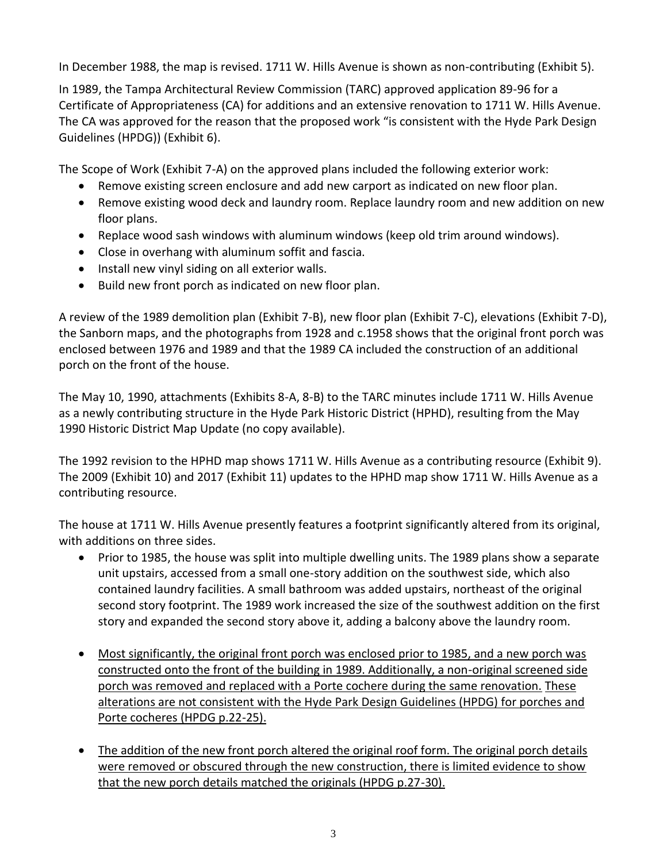In December 1988, the map is revised. 1711 W. Hills Avenue is shown as non-contributing (Exhibit 5).

In 1989, the Tampa Architectural Review Commission (TARC) approved application 89-96 for a Certificate of Appropriateness (CA) for additions and an extensive renovation to 1711 W. Hills Avenue. The CA was approved for the reason that the proposed work "is consistent with the Hyde Park Design Guidelines (HPDG)) (Exhibit 6).

The Scope of Work (Exhibit 7-A) on the approved plans included the following exterior work:

- Remove existing screen enclosure and add new carport as indicated on new floor plan.
- Remove existing wood deck and laundry room. Replace laundry room and new addition on new floor plans.
- Replace wood sash windows with aluminum windows (keep old trim around windows).
- Close in overhang with aluminum soffit and fascia.
- Install new vinyl siding on all exterior walls.
- Build new front porch as indicated on new floor plan.

A review of the 1989 demolition plan (Exhibit 7-B), new floor plan (Exhibit 7-C), elevations (Exhibit 7-D), the Sanborn maps, and the photographs from 1928 and c.1958 shows that the original front porch was enclosed between 1976 and 1989 and that the 1989 CA included the construction of an additional porch on the front of the house.

The May 10, 1990, attachments (Exhibits 8-A, 8-B) to the TARC minutes include 1711 W. Hills Avenue as a newly contributing structure in the Hyde Park Historic District (HPHD), resulting from the May 1990 Historic District Map Update (no copy available).

The 1992 revision to the HPHD map shows 1711 W. Hills Avenue as a contributing resource (Exhibit 9). The 2009 (Exhibit 10) and 2017 (Exhibit 11) updates to the HPHD map show 1711 W. Hills Avenue as a contributing resource.

The house at 1711 W. Hills Avenue presently features a footprint significantly altered from its original, with additions on three sides.

- Prior to 1985, the house was split into multiple dwelling units. The 1989 plans show a separate unit upstairs, accessed from a small one-story addition on the southwest side, which also contained laundry facilities. A small bathroom was added upstairs, northeast of the original second story footprint. The 1989 work increased the size of the southwest addition on the first story and expanded the second story above it, adding a balcony above the laundry room.
- Most significantly, the original front porch was enclosed prior to 1985, and a new porch was constructed onto the front of the building in 1989. Additionally, a non-original screened side porch was removed and replaced with a Porte cochere during the same renovation. These alterations are not consistent with the Hyde Park Design Guidelines (HPDG) for porches and Porte cocheres (HPDG p.22-25).
- The addition of the new front porch altered the original roof form. The original porch details were removed or obscured through the new construction, there is limited evidence to show that the new porch details matched the originals (HPDG p.27-30).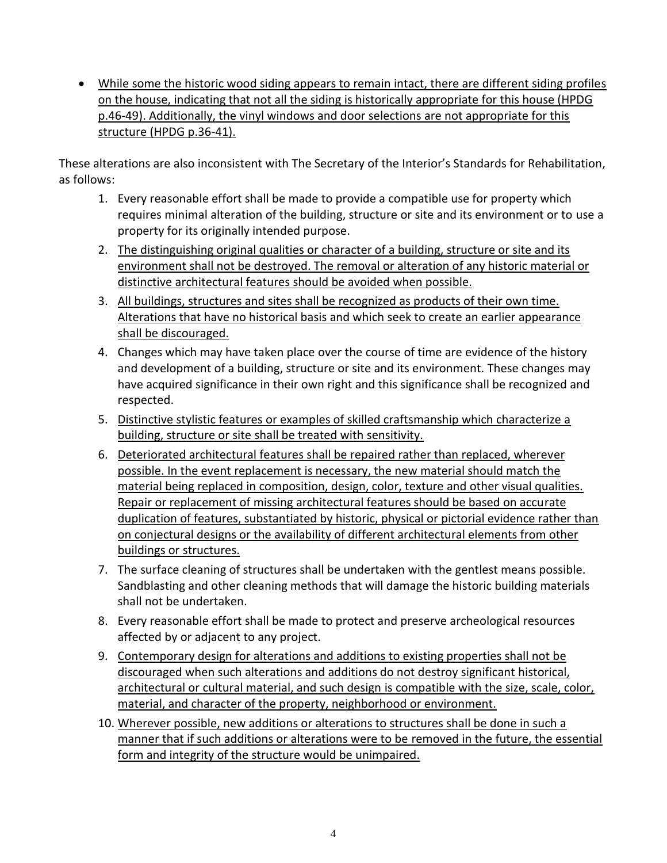• While some the historic wood siding appears to remain intact, there are different siding profiles on the house, indicating that not all the siding is historically appropriate for this house (HPDG p.46-49). Additionally, the vinyl windows and door selections are not appropriate for this structure (HPDG p.36-41).

These alterations are also inconsistent with The Secretary of the Interior's Standards for Rehabilitation, as follows:

- 1. Every reasonable effort shall be made to provide a compatible use for property which requires minimal alteration of the building, structure or site and its environment or to use a property for its originally intended purpose.
- 2. The distinguishing original qualities or character of a building, structure or site and its environment shall not be destroyed. The removal or alteration of any historic material or distinctive architectural features should be avoided when possible.
- 3. All buildings, structures and sites shall be recognized as products of their own time. Alterations that have no historical basis and which seek to create an earlier appearance shall be discouraged.
- 4. Changes which may have taken place over the course of time are evidence of the history and development of a building, structure or site and its environment. These changes may have acquired significance in their own right and this significance shall be recognized and respected.
- 5. Distinctive stylistic features or examples of skilled craftsmanship which characterize a building, structure or site shall be treated with sensitivity.
- 6. Deteriorated architectural features shall be repaired rather than replaced, wherever possible. In the event replacement is necessary, the new material should match the material being replaced in composition, design, color, texture and other visual qualities. Repair or replacement of missing architectural features should be based on accurate duplication of features, substantiated by historic, physical or pictorial evidence rather than on conjectural designs or the availability of different architectural elements from other buildings or structures.
- 7. The surface cleaning of structures shall be undertaken with the gentlest means possible. Sandblasting and other cleaning methods that will damage the historic building materials shall not be undertaken.
- 8. Every reasonable effort shall be made to protect and preserve archeological resources affected by or adjacent to any project.
- 9. Contemporary design for alterations and additions to existing properties shall not be discouraged when such alterations and additions do not destroy significant historical, architectural or cultural material, and such design is compatible with the size, scale, color, material, and character of the property, neighborhood or environment.
- 10. Wherever possible, new additions or alterations to structures shall be done in such a manner that if such additions or alterations were to be removed in the future, the essential form and integrity of the structure would be unimpaired.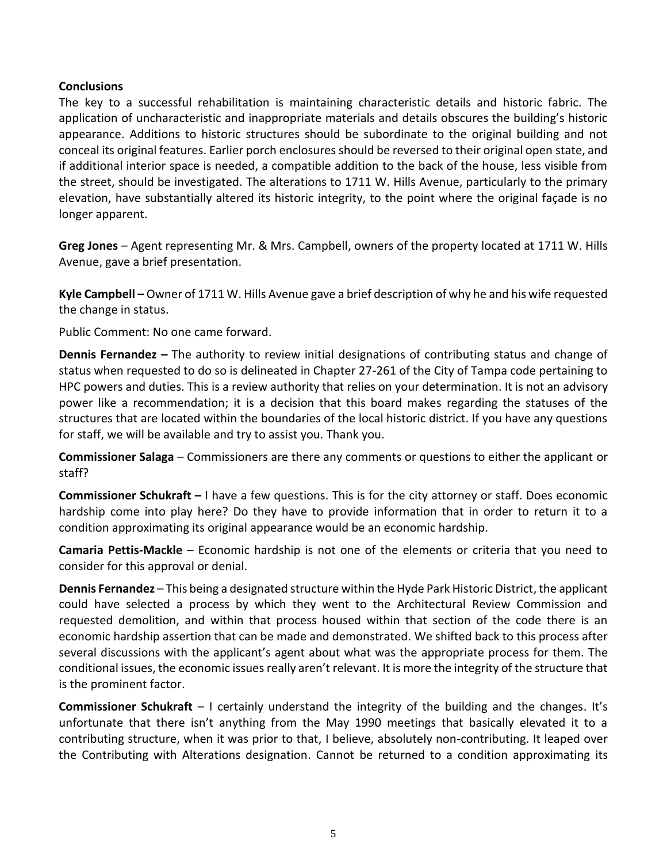#### **Conclusions**

The key to a successful rehabilitation is maintaining characteristic details and historic fabric. The application of uncharacteristic and inappropriate materials and details obscures the building's historic appearance. Additions to historic structures should be subordinate to the original building and not conceal its original features. Earlier porch enclosures should be reversed to their original open state, and if additional interior space is needed, a compatible addition to the back of the house, less visible from the street, should be investigated. The alterations to 1711 W. Hills Avenue, particularly to the primary elevation, have substantially altered its historic integrity, to the point where the original façade is no longer apparent.

**Greg Jones** – Agent representing Mr. & Mrs. Campbell, owners of the property located at 1711 W. Hills Avenue, gave a brief presentation.

**Kyle Campbell –** Owner of 1711 W. Hills Avenue gave a brief description of why he and his wife requested the change in status.

Public Comment: No one came forward.

**Dennis Fernandez –** The authority to review initial designations of contributing status and change of status when requested to do so is delineated in Chapter 27-261 of the City of Tampa code pertaining to HPC powers and duties. This is a review authority that relies on your determination. It is not an advisory power like a recommendation; it is a decision that this board makes regarding the statuses of the structures that are located within the boundaries of the local historic district. If you have any questions for staff, we will be available and try to assist you. Thank you.

**Commissioner Salaga** – Commissioners are there any comments or questions to either the applicant or staff?

**Commissioner Schukraft –** I have a few questions. This is for the city attorney or staff. Does economic hardship come into play here? Do they have to provide information that in order to return it to a condition approximating its original appearance would be an economic hardship.

**Camaria Pettis-Mackle** – Economic hardship is not one of the elements or criteria that you need to consider for this approval or denial.

**Dennis Fernandez** – This being a designated structure within the Hyde Park Historic District, the applicant could have selected a process by which they went to the Architectural Review Commission and requested demolition, and within that process housed within that section of the code there is an economic hardship assertion that can be made and demonstrated. We shifted back to this process after several discussions with the applicant's agent about what was the appropriate process for them. The conditional issues, the economic issues really aren't relevant. It is more the integrity of the structure that is the prominent factor.

**Commissioner Schukraft** – I certainly understand the integrity of the building and the changes. It's unfortunate that there isn't anything from the May 1990 meetings that basically elevated it to a contributing structure, when it was prior to that, I believe, absolutely non-contributing. It leaped over the Contributing with Alterations designation. Cannot be returned to a condition approximating its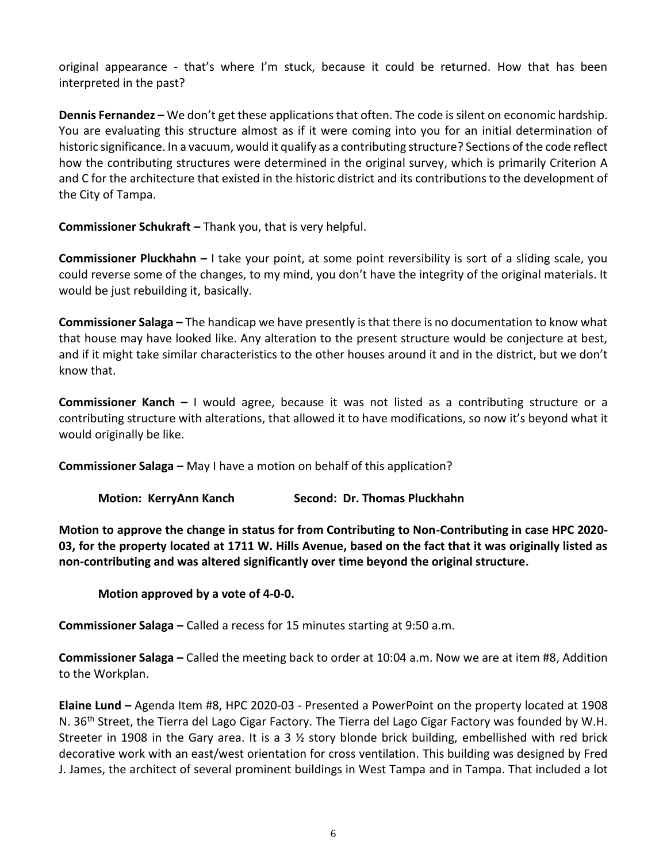original appearance - that's where I'm stuck, because it could be returned. How that has been interpreted in the past?

**Dennis Fernandez –** We don't get these applications that often. The code is silent on economic hardship. You are evaluating this structure almost as if it were coming into you for an initial determination of historic significance. In a vacuum, would it qualify as a contributing structure? Sections of the code reflect how the contributing structures were determined in the original survey, which is primarily Criterion A and C for the architecture that existed in the historic district and its contributions to the development of the City of Tampa.

**Commissioner Schukraft –** Thank you, that is very helpful.

**Commissioner Pluckhahn –** I take your point, at some point reversibility is sort of a sliding scale, you could reverse some of the changes, to my mind, you don't have the integrity of the original materials. It would be just rebuilding it, basically.

**Commissioner Salaga –** The handicap we have presently is that there is no documentation to know what that house may have looked like. Any alteration to the present structure would be conjecture at best, and if it might take similar characteristics to the other houses around it and in the district, but we don't know that.

**Commissioner Kanch –** I would agree, because it was not listed as a contributing structure or a contributing structure with alterations, that allowed it to have modifications, so now it's beyond what it would originally be like.

**Commissioner Salaga –** May I have a motion on behalf of this application?

|  | <b>Motion: KerryAnn Kanch</b> |  |  |  | Second: Dr. Thomas Pluckhahn |
|--|-------------------------------|--|--|--|------------------------------|
|--|-------------------------------|--|--|--|------------------------------|

**Motion to approve the change in status for from Contributing to Non-Contributing in case HPC 2020- 03, for the property located at 1711 W. Hills Avenue, based on the fact that it was originally listed as non-contributing and was altered significantly over time beyond the original structure.**

**Motion approved by a vote of 4-0-0.**

**Commissioner Salaga –** Called a recess for 15 minutes starting at 9:50 a.m.

**Commissioner Salaga –** Called the meeting back to order at 10:04 a.m. Now we are at item #8, Addition to the Workplan.

**Elaine Lund –** Agenda Item #8, HPC 2020-03 - Presented a PowerPoint on the property located at 1908 N. 36<sup>th</sup> Street, the Tierra del Lago Cigar Factory. The Tierra del Lago Cigar Factory was founded by W.H. Streeter in 1908 in the Gary area. It is a 3 ½ story blonde brick building, embellished with red brick decorative work with an east/west orientation for cross ventilation. This building was designed by Fred J. James, the architect of several prominent buildings in West Tampa and in Tampa. That included a lot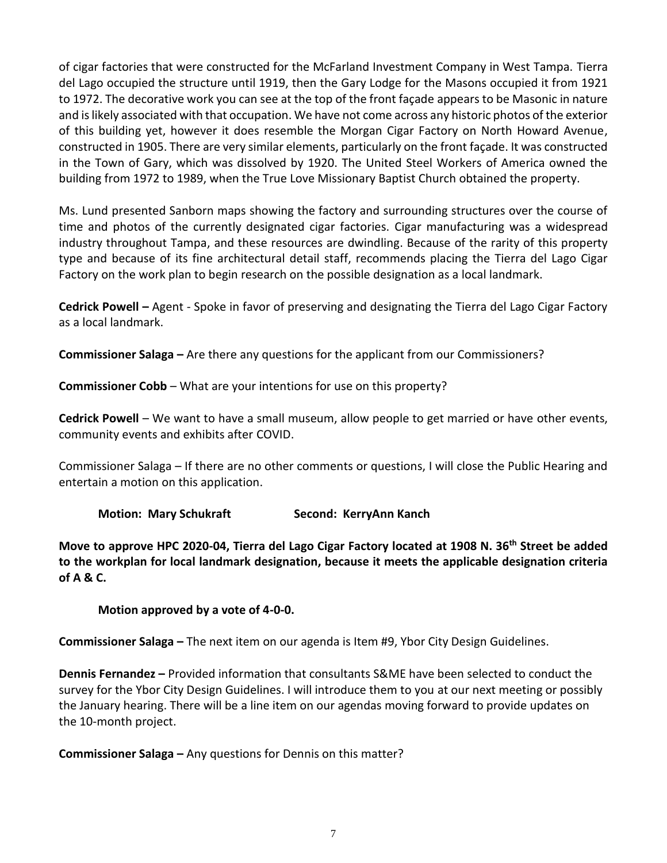of cigar factories that were constructed for the McFarland Investment Company in West Tampa. Tierra del Lago occupied the structure until 1919, then the Gary Lodge for the Masons occupied it from 1921 to 1972. The decorative work you can see at the top of the front façade appears to be Masonic in nature and is likely associated with that occupation. We have not come across any historic photos of the exterior of this building yet, however it does resemble the Morgan Cigar Factory on North Howard Avenue, constructed in 1905. There are very similar elements, particularly on the front façade. It was constructed in the Town of Gary, which was dissolved by 1920. The United Steel Workers of America owned the building from 1972 to 1989, when the True Love Missionary Baptist Church obtained the property.

Ms. Lund presented Sanborn maps showing the factory and surrounding structures over the course of time and photos of the currently designated cigar factories. Cigar manufacturing was a widespread industry throughout Tampa, and these resources are dwindling. Because of the rarity of this property type and because of its fine architectural detail staff, recommends placing the Tierra del Lago Cigar Factory on the work plan to begin research on the possible designation as a local landmark.

**Cedrick Powell –** Agent - Spoke in favor of preserving and designating the Tierra del Lago Cigar Factory as a local landmark.

**Commissioner Salaga –** Are there any questions for the applicant from our Commissioners?

**Commissioner Cobb** – What are your intentions for use on this property?

**Cedrick Powell** – We want to have a small museum, allow people to get married or have other events, community events and exhibits after COVID.

Commissioner Salaga – If there are no other comments or questions, I will close the Public Hearing and entertain a motion on this application.

**Motion: Mary Schukraft Second: KerryAnn Kanch**

**Move to approve HPC 2020-04, Tierra del Lago Cigar Factory located at 1908 N. 36th Street be added to the workplan for local landmark designation, because it meets the applicable designation criteria of A & C.**

**Motion approved by a vote of 4-0-0.**

**Commissioner Salaga –** The next item on our agenda is Item #9, Ybor City Design Guidelines.

**Dennis Fernandez –** Provided information that consultants S&ME have been selected to conduct the survey for the Ybor City Design Guidelines. I will introduce them to you at our next meeting or possibly the January hearing. There will be a line item on our agendas moving forward to provide updates on the 10-month project.

**Commissioner Salaga –** Any questions for Dennis on this matter?